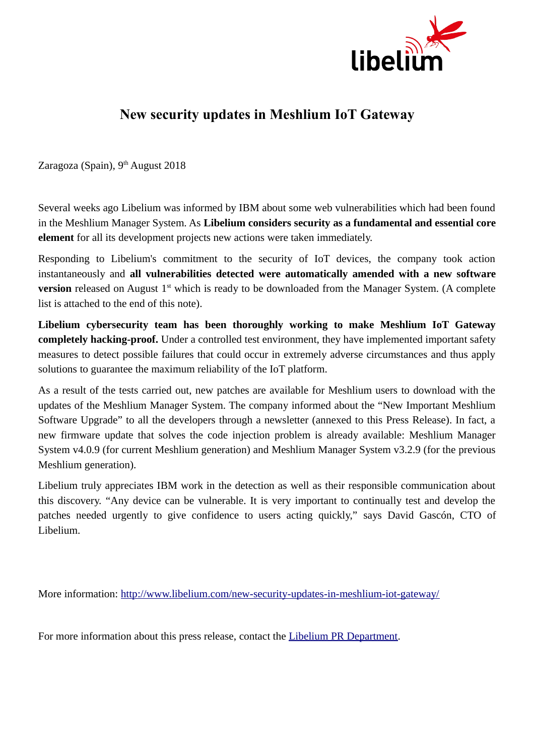

## **New security updates in Meshlium IoT Gateway**

Zaragoza (Spain),  $9<sup>th</sup>$  August 2018

Several weeks ago Libelium was informed by IBM about some web vulnerabilities which had been found in the Meshlium Manager System. As **Libelium considers security as a fundamental and essential core element** for all its development projects new actions were taken immediately.

Responding to Libelium's commitment to the security of IoT devices, the company took action instantaneously and **all vulnerabilities detected were automatically amended with a new software version** released on August 1<sup>st</sup> which is ready to be downloaded from the Manager System. (A complete list is attached to the end of this note).

**Libelium cybersecurity team has been thoroughly working to make Meshlium IoT Gateway completely hacking-proof.** Under a controlled test environment, they have implemented important safety measures to detect possible failures that could occur in extremely adverse circumstances and thus apply solutions to guarantee the maximum reliability of the IoT platform.

As a result of the tests carried out, new patches are available for Meshlium users to download with the updates of the Meshlium Manager System. The company informed about the "New Important Meshlium Software Upgrade" to all the developers through a newsletter (annexed to this Press Release). In fact, a new firmware update that solves the code injection problem is already available: Meshlium Manager System v4.0.9 (for current Meshlium generation) and Meshlium Manager System v3.2.9 (for the previous Meshlium generation).

Libelium truly appreciates IBM work in the detection as well as their responsible communication about this discovery. "Any device can be vulnerable. It is very important to continually test and develop the patches needed urgently to give confidence to users acting quickly," says David Gascón, CTO of Libelium.

More information:<http://www.libelium.com/new-security-updates-in-meshlium-iot-gateway/>

For more information about this press release, contact the [Libelium PR Department.](mailto:%20pr@libelium.com)